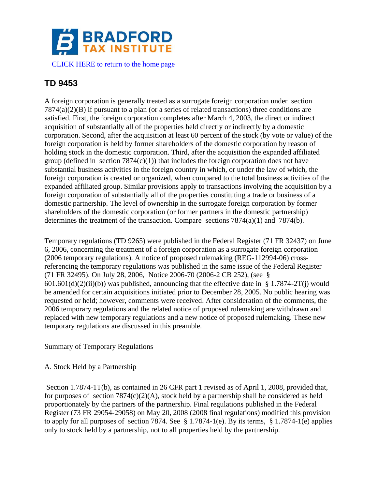

# **TD 9453**

A foreign corporation is generally treated as a surrogate foreign corporation under section  $7874(a)(2)(B)$  if pursuant to a plan (or a series of related transactions) three conditions are satisfied. First, the foreign corporation completes after March 4, 2003, the direct or indirect acquisition of substantially all of the properties held directly or indirectly by a domestic corporation. Second, after the acquisition at least 60 percent of the stock (by vote or value) of the foreign corporation is held by former shareholders of the domestic corporation by reason of holding stock in the domestic corporation. Third, after the acquisition the expanded affiliated group (defined in section  $7874(c)(1)$ ) that includes the foreign corporation does not have substantial business activities in the foreign country in which, or under the law of which, the foreign corporation is created or organized, when compared to the total business activities of the expanded affiliated group. Similar provisions apply to transactions involving the acquisition by a foreign corporation of substantially all of the properties constituting a trade or business of a domestic partnership. The level of ownership in the surrogate foreign corporation by former shareholders of the domestic corporation (or former partners in the domestic partnership) determines the treatment of the transaction. Compare sections 7874(a)(1) and 7874(b).

Temporary regulations (TD 9265) were published in the Federal Register (71 FR 32437) on June 6, 2006, concerning the treatment of a foreign corporation as a surrogate foreign corporation (2006 temporary regulations). A notice of proposed rulemaking (REG-112994-06) crossreferencing the temporary regulations was published in the same issue of the Federal Register (71 FR 32495). On July 28, 2006, Notice 2006-70 (2006-2 CB 252), (see §  $601.601(d)(2)(ii)(b)$  was published, announcing that the effective date in § 1.7874-2T(j) would be amended for certain acquisitions initiated prior to December 28, 2005. No public hearing was requested or held; however, comments were received. After consideration of the comments, the 2006 temporary regulations and the related notice of proposed rulemaking are withdrawn and replaced with new temporary regulations and a new notice of proposed rulemaking. These new temporary regulations are discussed in this preamble.

Summary of Temporary Regulations

# A. Stock Held by a Partnership

Section 1.7874-1T(b), as contained in 26 CFR part 1 revised as of April 1, 2008, provided that, for purposes of section  $7874(c)(2)(A)$ , stock held by a partnership shall be considered as held proportionately by the partners of the partnership. Final regulations published in the Federal Register (73 FR 29054-29058) on May 20, 2008 (2008 final regulations) modified this provision to apply for all purposes of section 7874. See § 1.7874-1(e). By its terms, § 1.7874-1(e) applies only to stock held by a partnership, not to all properties held by the partnership.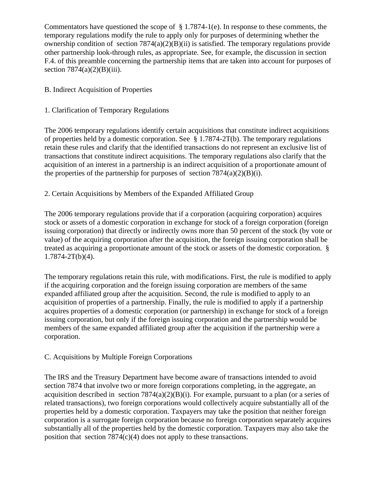Commentators have questioned the scope of § 1.7874-1(e). In response to these comments, the temporary regulations modify the rule to apply only for purposes of determining whether the ownership condition of section  $7874(a)(2)(B)(ii)$  is satisfied. The temporary regulations provide other partnership look-through rules, as appropriate. See, for example, the discussion in section F.4. of this preamble concerning the partnership items that are taken into account for purposes of section  $7874(a)(2)(B)(iii)$ .

# B. Indirect Acquisition of Properties

# 1. Clarification of Temporary Regulations

The 2006 temporary regulations identify certain acquisitions that constitute indirect acquisitions of properties held by a domestic corporation. See § 1.7874-2T(b). The temporary regulations retain these rules and clarify that the identified transactions do not represent an exclusive list of transactions that constitute indirect acquisitions. The temporary regulations also clarify that the acquisition of an interest in a partnership is an indirect acquisition of a proportionate amount of the properties of the partnership for purposes of section  $7874(a)(2)(B)(i)$ .

# 2. Certain Acquisitions by Members of the Expanded Affiliated Group

The 2006 temporary regulations provide that if a corporation (acquiring corporation) acquires stock or assets of a domestic corporation in exchange for stock of a foreign corporation (foreign issuing corporation) that directly or indirectly owns more than 50 percent of the stock (by vote or value) of the acquiring corporation after the acquisition, the foreign issuing corporation shall be treated as acquiring a proportionate amount of the stock or assets of the domestic corporation. §  $1.7874 - 2T(b)(4)$ .

The temporary regulations retain this rule, with modifications. First, the rule is modified to apply if the acquiring corporation and the foreign issuing corporation are members of the same expanded affiliated group after the acquisition. Second, the rule is modified to apply to an acquisition of properties of a partnership. Finally, the rule is modified to apply if a partnership acquires properties of a domestic corporation (or partnership) in exchange for stock of a foreign issuing corporation, but only if the foreign issuing corporation and the partnership would be members of the same expanded affiliated group after the acquisition if the partnership were a corporation.

# C. Acquisitions by Multiple Foreign Corporations

The IRS and the Treasury Department have become aware of transactions intended to avoid section 7874 that involve two or more foreign corporations completing, in the aggregate, an acquisition described in section  $7874(a)(2)(B)(i)$ . For example, pursuant to a plan (or a series of related transactions), two foreign corporations would collectively acquire substantially all of the properties held by a domestic corporation. Taxpayers may take the position that neither foreign corporation is a surrogate foreign corporation because no foreign corporation separately acquires substantially all of the properties held by the domestic corporation. Taxpayers may also take the position that section  $7874(c)(4)$  does not apply to these transactions.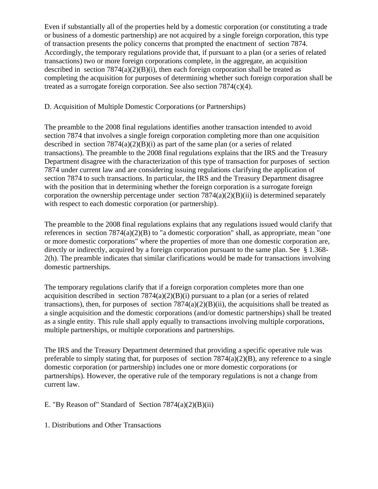Even if substantially all of the properties held by a domestic corporation (or constituting a trade or business of a domestic partnership) are not acquired by a single foreign corporation, this type of transaction presents the policy concerns that prompted the enactment of section 7874. Accordingly, the temporary regulations provide that, if pursuant to a plan (or a series of related transactions) two or more foreign corporations complete, in the aggregate, an acquisition described in section  $7874(a)(2)(B)(i)$ , then each foreign corporation shall be treated as completing the acquisition for purposes of determining whether such foreign corporation shall be treated as a surrogate foreign corporation. See also section  $7874(c)(4)$ .

## D. Acquisition of Multiple Domestic Corporations (or Partnerships)

The preamble to the 2008 final regulations identifies another transaction intended to avoid section 7874 that involves a single foreign corporation completing more than one acquisition described in section  $7874(a)(2)(B)(i)$  as part of the same plan (or a series of related transactions). The preamble to the 2008 final regulations explains that the IRS and the Treasury Department disagree with the characterization of this type of transaction for purposes of section 7874 under current law and are considering issuing regulations clarifying the application of section 7874 to such transactions. In particular, the IRS and the Treasury Department disagree with the position that in determining whether the foreign corporation is a surrogate foreign corporation the ownership percentage under section  $7874(a)(2)(B)(ii)$  is determined separately with respect to each domestic corporation (or partnership).

The preamble to the 2008 final regulations explains that any regulations issued would clarify that references in section 7874(a)(2)(B) to "a domestic corporation" shall, as appropriate, mean "one or more domestic corporations" where the properties of more than one domestic corporation are, directly or indirectly, acquired by a foreign corporation pursuant to the same plan. See § 1.368- 2(h). The preamble indicates that similar clarifications would be made for transactions involving domestic partnerships.

The temporary regulations clarify that if a foreign corporation completes more than one acquisition described in section  $7874(a)(2)(B)(i)$  pursuant to a plan (or a series of related transactions), then, for purposes of section  $7874(a)(2)(B)(ii)$ , the acquisitions shall be treated as a single acquisition and the domestic corporations (and/or domestic partnerships) shall be treated as a single entity. This rule shall apply equally to transactions involving multiple corporations, multiple partnerships, or multiple corporations and partnerships.

The IRS and the Treasury Department determined that providing a specific operative rule was preferable to simply stating that, for purposes of section  $7874(a)(2)(B)$ , any reference to a single domestic corporation (or partnership) includes one or more domestic corporations (or partnerships). However, the operative rule of the temporary regulations is not a change from current law.

# E. "By Reason of" Standard of Section  $7874(a)(2)(B)(ii)$

1. Distributions and Other Transactions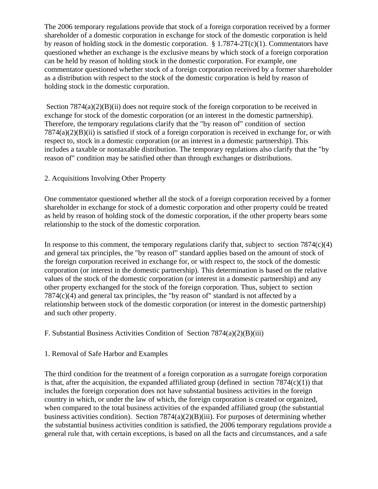The 2006 temporary regulations provide that stock of a foreign corporation received by a former shareholder of a domestic corporation in exchange for stock of the domestic corporation is held by reason of holding stock in the domestic corporation.  $\S 1.7874-2T(c)(1)$ . Commentators have questioned whether an exchange is the exclusive means by which stock of a foreign corporation can be held by reason of holding stock in the domestic corporation. For example, one commentator questioned whether stock of a foreign corporation received by a former shareholder as a distribution with respect to the stock of the domestic corporation is held by reason of holding stock in the domestic corporation.

Section  $7874(a)(2)(B)(ii)$  does not require stock of the foreign corporation to be received in exchange for stock of the domestic corporation (or an interest in the domestic partnership). Therefore, the temporary regulations clarify that the "by reason of" condition of section  $7874(a)(2)(B)(ii)$  is satisfied if stock of a foreign corporation is received in exchange for, or with respect to, stock in a domestic corporation (or an interest in a domestic partnership). This includes a taxable or nontaxable distribution. The temporary regulations also clarify that the "by reason of" condition may be satisfied other than through exchanges or distributions.

# 2. Acquisitions Involving Other Property

One commentator questioned whether all the stock of a foreign corporation received by a former shareholder in exchange for stock of a domestic corporation and other property could be treated as held by reason of holding stock of the domestic corporation, if the other property bears some relationship to the stock of the domestic corporation.

In response to this comment, the temporary regulations clarify that, subject to section  $7874(c)(4)$ and general tax principles, the "by reason of" standard applies based on the amount of stock of the foreign corporation received in exchange for, or with respect to, the stock of the domestic corporation (or interest in the domestic partnership). This determination is based on the relative values of the stock of the domestic corporation (or interest in a domestic partnership) and any other property exchanged for the stock of the foreign corporation. Thus, subject to section 7874(c)(4) and general tax principles, the "by reason of" standard is not affected by a relationship between stock of the domestic corporation (or interest in the domestic partnership) and such other property.

#### F. Substantial Business Activities Condition of Section  $7874(a)(2)(B)(iii)$

#### 1. Removal of Safe Harbor and Examples

The third condition for the treatment of a foreign corporation as a surrogate foreign corporation is that, after the acquisition, the expanded affiliated group (defined in section  $7874(c)(1)$ ) that includes the foreign corporation does not have substantial business activities in the foreign country in which, or under the law of which, the foreign corporation is created or organized, when compared to the total business activities of the expanded affiliated group (the substantial business activities condition). Section  $7874(a)(2)(B)(iii)$ . For purposes of determining whether the substantial business activities condition is satisfied, the 2006 temporary regulations provide a general rule that, with certain exceptions, is based on all the facts and circumstances, and a safe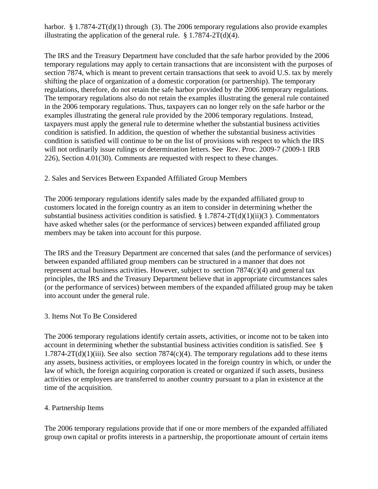harbor.  $\S 1.7874-2T(d)(1)$  through (3). The 2006 temporary regulations also provide examples illustrating the application of the general rule.  $\S$  1.7874-2T(d)(4).

The IRS and the Treasury Department have concluded that the safe harbor provided by the 2006 temporary regulations may apply to certain transactions that are inconsistent with the purposes of section 7874, which is meant to prevent certain transactions that seek to avoid U.S. tax by merely shifting the place of organization of a domestic corporation (or partnership). The temporary regulations, therefore, do not retain the safe harbor provided by the 2006 temporary regulations. The temporary regulations also do not retain the examples illustrating the general rule contained in the 2006 temporary regulations. Thus, taxpayers can no longer rely on the safe harbor or the examples illustrating the general rule provided by the 2006 temporary regulations. Instead, taxpayers must apply the general rule to determine whether the substantial business activities condition is satisfied. In addition, the question of whether the substantial business activities condition is satisfied will continue to be on the list of provisions with respect to which the IRS will not ordinarily issue rulings or determination letters. See Rev. Proc. 2009-7 (2009-1 IRB 226), Section 4.01(30). Comments are requested with respect to these changes.

#### 2. Sales and Services Between Expanded Affiliated Group Members

The 2006 temporary regulations identify sales made by the expanded affiliated group to customers located in the foreign country as an item to consider in determining whether the substantial business activities condition is satisfied.  $\S 1.7874-2T(d)(1)(ii)(3)$ . Commentators have asked whether sales (or the performance of services) between expanded affiliated group members may be taken into account for this purpose.

The IRS and the Treasury Department are concerned that sales (and the performance of services) between expanded affiliated group members can be structured in a manner that does not represent actual business activities. However, subject to section 7874(c)(4) and general tax principles, the IRS and the Treasury Department believe that in appropriate circumstances sales (or the performance of services) between members of the expanded affiliated group may be taken into account under the general rule.

#### 3. Items Not To Be Considered

The 2006 temporary regulations identify certain assets, activities, or income not to be taken into account in determining whether the substantial business activities condition is satisfied. See §  $1.7874-2T(d)(1)(iii)$ . See also section  $7874(c)(4)$ . The temporary regulations add to these items any assets, business activities, or employees located in the foreign country in which, or under the law of which, the foreign acquiring corporation is created or organized if such assets, business activities or employees are transferred to another country pursuant to a plan in existence at the time of the acquisition.

# 4. Partnership Items

The 2006 temporary regulations provide that if one or more members of the expanded affiliated group own capital or profits interests in a partnership, the proportionate amount of certain items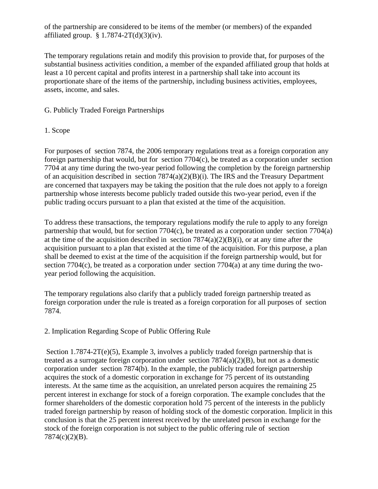of the partnership are considered to be items of the member (or members) of the expanded affiliated group.  $§ 1.7874-2T(d)(3)(iv)$ .

The temporary regulations retain and modify this provision to provide that, for purposes of the substantial business activities condition, a member of the expanded affiliated group that holds at least a 10 percent capital and profits interest in a partnership shall take into account its proportionate share of the items of the partnership, including business activities, employees, assets, income, and sales.

G. Publicly Traded Foreign Partnerships

#### 1. Scope

For purposes of section 7874, the 2006 temporary regulations treat as a foreign corporation any foreign partnership that would, but for section 7704(c), be treated as a corporation under section 7704 at any time during the two-year period following the completion by the foreign partnership of an acquisition described in section 7874(a)(2)(B)(i). The IRS and the Treasury Department are concerned that taxpayers may be taking the position that the rule does not apply to a foreign partnership whose interests become publicly traded outside this two-year period, even if the public trading occurs pursuant to a plan that existed at the time of the acquisition.

To address these transactions, the temporary regulations modify the rule to apply to any foreign partnership that would, but for section 7704(c), be treated as a corporation under section 7704(a) at the time of the acquisition described in section  $7874(a)(2)(B)(i)$ , or at any time after the acquisition pursuant to a plan that existed at the time of the acquisition. For this purpose, a plan shall be deemed to exist at the time of the acquisition if the foreign partnership would, but for section 7704(c), be treated as a corporation under section 7704(a) at any time during the twoyear period following the acquisition.

The temporary regulations also clarify that a publicly traded foreign partnership treated as foreign corporation under the rule is treated as a foreign corporation for all purposes of section 7874.

# 2. Implication Regarding Scope of Public Offering Rule

Section 1.7874-2T(e)(5), Example 3, involves a publicly traded foreign partnership that is treated as a surrogate foreign corporation under section  $7874(a)(2)(B)$ , but not as a domestic corporation under section 7874(b). In the example, the publicly traded foreign partnership acquires the stock of a domestic corporation in exchange for 75 percent of its outstanding interests. At the same time as the acquisition, an unrelated person acquires the remaining 25 percent interest in exchange for stock of a foreign corporation. The example concludes that the former shareholders of the domestic corporation hold 75 percent of the interests in the publicly traded foreign partnership by reason of holding stock of the domestic corporation. Implicit in this conclusion is that the 25 percent interest received by the unrelated person in exchange for the stock of the foreign corporation is not subject to the public offering rule of section 7874(c)(2)(B).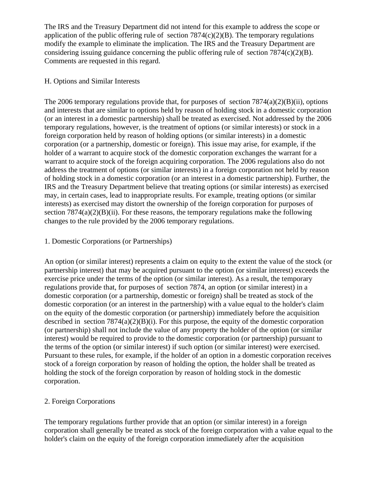The IRS and the Treasury Department did not intend for this example to address the scope or application of the public offering rule of section  $7874(c)(2)(B)$ . The temporary regulations modify the example to eliminate the implication. The IRS and the Treasury Department are considering issuing guidance concerning the public offering rule of section 7874(c)(2)(B). Comments are requested in this regard.

## H. Options and Similar Interests

The 2006 temporary regulations provide that, for purposes of section  $7874(a)(2)(B)(ii)$ , options and interests that are similar to options held by reason of holding stock in a domestic corporation (or an interest in a domestic partnership) shall be treated as exercised. Not addressed by the 2006 temporary regulations, however, is the treatment of options (or similar interests) or stock in a foreign corporation held by reason of holding options (or similar interests) in a domestic corporation (or a partnership, domestic or foreign). This issue may arise, for example, if the holder of a warrant to acquire stock of the domestic corporation exchanges the warrant for a warrant to acquire stock of the foreign acquiring corporation. The 2006 regulations also do not address the treatment of options (or similar interests) in a foreign corporation not held by reason of holding stock in a domestic corporation (or an interest in a domestic partnership). Further, the IRS and the Treasury Department believe that treating options (or similar interests) as exercised may, in certain cases, lead to inappropriate results. For example, treating options (or similar interests) as exercised may distort the ownership of the foreign corporation for purposes of section  $7874(a)(2)(B)(ii)$ . For these reasons, the temporary regulations make the following changes to the rule provided by the 2006 temporary regulations.

## 1. Domestic Corporations (or Partnerships)

An option (or similar interest) represents a claim on equity to the extent the value of the stock (or partnership interest) that may be acquired pursuant to the option (or similar interest) exceeds the exercise price under the terms of the option (or similar interest). As a result, the temporary regulations provide that, for purposes of section 7874, an option (or similar interest) in a domestic corporation (or a partnership, domestic or foreign) shall be treated as stock of the domestic corporation (or an interest in the partnership) with a value equal to the holder's claim on the equity of the domestic corporation (or partnership) immediately before the acquisition described in section  $7874(a)(2)(B)(i)$ . For this purpose, the equity of the domestic corporation (or partnership) shall not include the value of any property the holder of the option (or similar interest) would be required to provide to the domestic corporation (or partnership) pursuant to the terms of the option (or similar interest) if such option (or similar interest) were exercised. Pursuant to these rules, for example, if the holder of an option in a domestic corporation receives stock of a foreign corporation by reason of holding the option, the holder shall be treated as holding the stock of the foreign corporation by reason of holding stock in the domestic corporation.

# 2. Foreign Corporations

The temporary regulations further provide that an option (or similar interest) in a foreign corporation shall generally be treated as stock of the foreign corporation with a value equal to the holder's claim on the equity of the foreign corporation immediately after the acquisition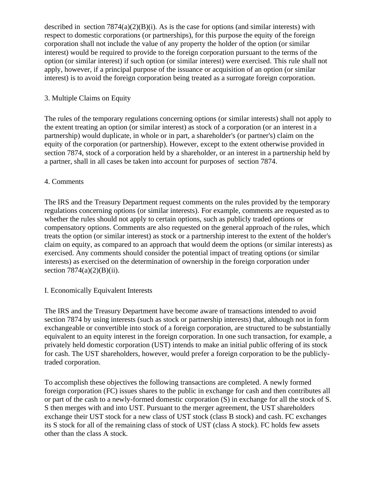described in section  $7874(a)(2)(B)(i)$ . As is the case for options (and similar interests) with respect to domestic corporations (or partnerships), for this purpose the equity of the foreign corporation shall not include the value of any property the holder of the option (or similar interest) would be required to provide to the foreign corporation pursuant to the terms of the option (or similar interest) if such option (or similar interest) were exercised. This rule shall not apply, however, if a principal purpose of the issuance or acquisition of an option (or similar interest) is to avoid the foreign corporation being treated as a surrogate foreign corporation.

# 3. Multiple Claims on Equity

The rules of the temporary regulations concerning options (or similar interests) shall not apply to the extent treating an option (or similar interest) as stock of a corporation (or an interest in a partnership) would duplicate, in whole or in part, a shareholder's (or partner's) claim on the equity of the corporation (or partnership). However, except to the extent otherwise provided in section 7874, stock of a corporation held by a shareholder, or an interest in a partnership held by a partner, shall in all cases be taken into account for purposes of section 7874.

# 4. Comments

The IRS and the Treasury Department request comments on the rules provided by the temporary regulations concerning options (or similar interests). For example, comments are requested as to whether the rules should not apply to certain options, such as publicly traded options or compensatory options. Comments are also requested on the general approach of the rules, which treats the option (or similar interest) as stock or a partnership interest to the extent of the holder's claim on equity, as compared to an approach that would deem the options (or similar interests) as exercised. Any comments should consider the potential impact of treating options (or similar interests) as exercised on the determination of ownership in the foreign corporation under section  $7874(a)(2)(B)(ii)$ .

# I. Economically Equivalent Interests

The IRS and the Treasury Department have become aware of transactions intended to avoid section 7874 by using interests (such as stock or partnership interests) that, although not in form exchangeable or convertible into stock of a foreign corporation, are structured to be substantially equivalent to an equity interest in the foreign corporation. In one such transaction, for example, a privately held domestic corporation (UST) intends to make an initial public offering of its stock for cash. The UST shareholders, however, would prefer a foreign corporation to be the publiclytraded corporation.

To accomplish these objectives the following transactions are completed. A newly formed foreign corporation (FC) issues shares to the public in exchange for cash and then contributes all or part of the cash to a newly-formed domestic corporation (S) in exchange for all the stock of S. S then merges with and into UST. Pursuant to the merger agreement, the UST shareholders exchange their UST stock for a new class of UST stock (class B stock) and cash. FC exchanges its S stock for all of the remaining class of stock of UST (class A stock). FC holds few assets other than the class A stock.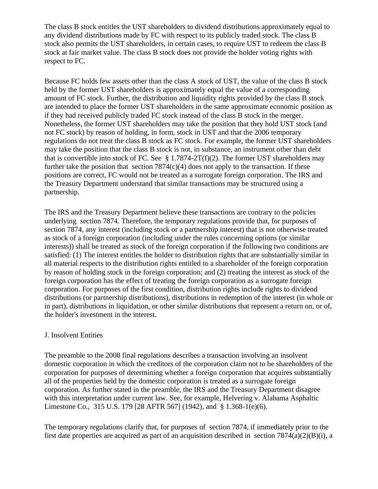The class B stock entitles the UST shareholders to dividend distributions approximately equal to any dividend distributions made by FC with respect to its publicly traded stock. The class B stock also permits the UST shareholders, in certain cases, to require UST to redeem the class B stock at fair market value. The class B stock does not provide the holder voting rights with respect to FC.

Because FC holds few assets other than the class A stock of UST, the value of the class B stock held by the former UST shareholders is approximately equal the value of a corresponding amount of FC stock. Further, the distribution and liquidity rights provided by the class B stock are intended to place the former UST shareholders in the same approximate economic position as if they had received publicly traded FC stock instead of the class B stock in the merger. Nonetheless, the former UST shareholders may take the position that they hold UST stock (and not FC stock) by reason of holding, in form, stock in UST and that the 2006 temporary regulations do not treat the class B stock as FC stock. For example, the former UST shareholders may take the position that the class B stock is not, in substance, an instrument other than debt that is convertible into stock of FC. See § 1.7874-2T(f)(2). The former UST shareholders may further take the position that section  $7874(c)(4)$  does not apply to the transaction. If these positions are correct, FC would not be treated as a surrogate foreign corporation. The IRS and the Treasury Department understand that similar transactions may be structured using a partnership.

The IRS and the Treasury Department believe these transactions are contrary to the policies underlying section 7874. Therefore, the temporary regulations provide that, for purposes of section 7874, any interest (including stock or a partnership interest) that is not otherwise treated as stock of a foreign corporation (including under the rules concerning options (or similar interests)) shall be treated as stock of the foreign corporation if the following two conditions are satisfied: (1) The interest entitles the holder to distribution rights that are substantially similar in all material respects to the distribution rights entitled to a shareholder of the foreign corporation by reason of holding stock in the foreign corporation; and (2) treating the interest as stock of the foreign corporation has the effect of treating the foreign corporation as a surrogate foreign corporation. For purposes of the first condition, distribution rights include rights to dividend distributions (or partnership distributions), distributions in redemption of the interest (in whole or in part), distributions in liquidation, or other similar distributions that represent a return on, or of, the holder's investment in the interest.

# J. Insolvent Entities

The preamble to the 2008 final regulations describes a transaction involving an insolvent domestic corporation in which the creditors of the corporation claim not to be shareholders of the corporation for purposes of determining whether a foreign corporation that acquires substantially all of the properties held by the domestic corporation is treated as a surrogate foreign corporation. As further stated in the preamble, the IRS and the Treasury Department disagree with this interpretation under current law. See, for example, Helvering v. Alabama Asphaltic Limestone Co., 315 U.S. 179 [28 AFTR 567] (1942), and § 1.368-1(e)(6).

The temporary regulations clarify that, for purposes of section 7874, if immediately prior to the first date properties are acquired as part of an acquisition described in section 7874(a)(2)(B)(i), a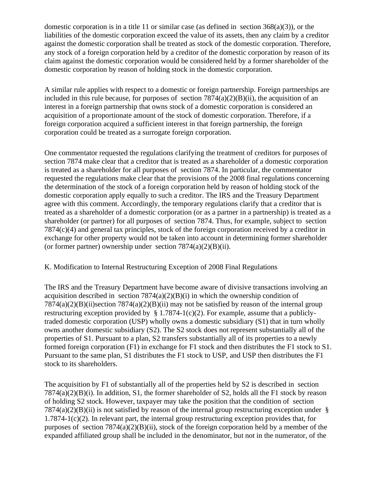domestic corporation is in a title 11 or similar case (as defined in section  $368(a)(3)$ ), or the liabilities of the domestic corporation exceed the value of its assets, then any claim by a creditor against the domestic corporation shall be treated as stock of the domestic corporation. Therefore, any stock of a foreign corporation held by a creditor of the domestic corporation by reason of its claim against the domestic corporation would be considered held by a former shareholder of the domestic corporation by reason of holding stock in the domestic corporation.

A similar rule applies with respect to a domestic or foreign partnership. Foreign partnerships are included in this rule because, for purposes of section  $7874(a)(2)(B)(ii)$ , the acquisition of an interest in a foreign partnership that owns stock of a domestic corporation is considered an acquisition of a proportionate amount of the stock of domestic corporation. Therefore, if a foreign corporation acquired a sufficient interest in that foreign partnership, the foreign corporation could be treated as a surrogate foreign corporation.

One commentator requested the regulations clarifying the treatment of creditors for purposes of section 7874 make clear that a creditor that is treated as a shareholder of a domestic corporation is treated as a shareholder for all purposes of section 7874. In particular, the commentator requested the regulations make clear that the provisions of the 2008 final regulations concerning the determination of the stock of a foreign corporation held by reason of holding stock of the domestic corporation apply equally to such a creditor. The IRS and the Treasury Department agree with this comment. Accordingly, the temporary regulations clarify that a creditor that is treated as a shareholder of a domestic corporation (or as a partner in a partnership) is treated as a shareholder (or partner) for all purposes of section 7874. Thus, for example, subject to section 7874(c)(4) and general tax principles, stock of the foreign corporation received by a creditor in exchange for other property would not be taken into account in determining former shareholder (or former partner) ownership under section  $7874(a)(2)(B)(ii)$ .

# K. Modification to Internal Restructuring Exception of 2008 Final Regulations

The IRS and the Treasury Department have become aware of divisive transactions involving an acquisition described in section  $7874(a)(2)(B)(i)$  in which the ownership condition of 7874(a)(2)(B)(ii)section 7874(a)(2)(B)(ii) may not be satisfied by reason of the internal group restructuring exception provided by  $\S 1.7874-1(c)(2)$ . For example, assume that a publiclytraded domestic corporation (USP) wholly owns a domestic subsidiary (S1) that in turn wholly owns another domestic subsidiary (S2). The S2 stock does not represent substantially all of the properties of S1. Pursuant to a plan, S2 transfers substantially all of its properties to a newly formed foreign corporation (F1) in exchange for F1 stock and then distributes the F1 stock to S1. Pursuant to the same plan, S1 distributes the F1 stock to USP, and USP then distributes the F1 stock to its shareholders.

The acquisition by F1 of substantially all of the properties held by S2 is described in section 7874(a)(2)(B)(i). In addition, S1, the former shareholder of S2, holds all the F1 stock by reason of holding S2 stock. However, taxpayer may take the position that the condition of section  $7874(a)(2)(B)(ii)$  is not satisfied by reason of the internal group restructuring exception under § 1.7874-1(c)(2). In relevant part, the internal group restructuring exception provides that, for purposes of section  $7874(a)(2)(B)(ii)$ , stock of the foreign corporation held by a member of the expanded affiliated group shall be included in the denominator, but not in the numerator, of the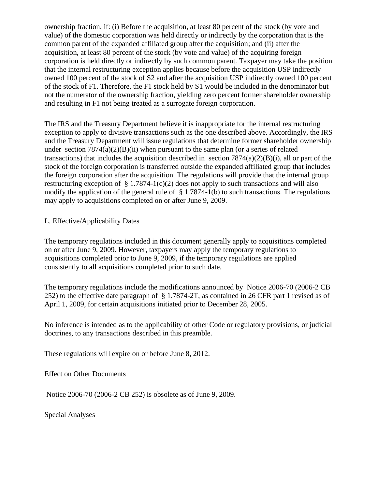ownership fraction, if: (i) Before the acquisition, at least 80 percent of the stock (by vote and value) of the domestic corporation was held directly or indirectly by the corporation that is the common parent of the expanded affiliated group after the acquisition; and (ii) after the acquisition, at least 80 percent of the stock (by vote and value) of the acquiring foreign corporation is held directly or indirectly by such common parent. Taxpayer may take the position that the internal restructuring exception applies because before the acquisition USP indirectly owned 100 percent of the stock of S2 and after the acquisition USP indirectly owned 100 percent of the stock of F1. Therefore, the F1 stock held by S1 would be included in the denominator but not the numerator of the ownership fraction, yielding zero percent former shareholder ownership and resulting in F1 not being treated as a surrogate foreign corporation.

The IRS and the Treasury Department believe it is inappropriate for the internal restructuring exception to apply to divisive transactions such as the one described above. Accordingly, the IRS and the Treasury Department will issue regulations that determine former shareholder ownership under section  $7874(a)(2)(B)(ii)$  when pursuant to the same plan (or a series of related transactions) that includes the acquisition described in section  $7874(a)(2)(B)(i)$ , all or part of the stock of the foreign corporation is transferred outside the expanded affiliated group that includes the foreign corporation after the acquisition. The regulations will provide that the internal group restructuring exception of  $\S 1.7874-1(c)(2)$  does not apply to such transactions and will also modify the application of the general rule of § 1.7874-1(b) to such transactions. The regulations may apply to acquisitions completed on or after June 9, 2009.

L. Effective/Applicability Dates

The temporary regulations included in this document generally apply to acquisitions completed on or after June 9, 2009. However, taxpayers may apply the temporary regulations to acquisitions completed prior to June 9, 2009, if the temporary regulations are applied consistently to all acquisitions completed prior to such date.

The temporary regulations include the modifications announced by Notice 2006-70 (2006-2 CB 252) to the effective date paragraph of § 1.7874-2T, as contained in 26 CFR part 1 revised as of April 1, 2009, for certain acquisitions initiated prior to December 28, 2005.

No inference is intended as to the applicability of other Code or regulatory provisions, or judicial doctrines, to any transactions described in this preamble.

These regulations will expire on or before June 8, 2012.

Effect on Other Documents

Notice 2006-70 (2006-2 CB 252) is obsolete as of June 9, 2009.

Special Analyses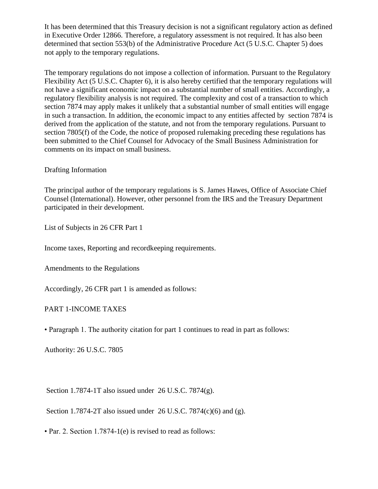It has been determined that this Treasury decision is not a significant regulatory action as defined in Executive Order 12866. Therefore, a regulatory assessment is not required. It has also been determined that section 553(b) of the Administrative Procedure Act (5 U.S.C. Chapter 5) does not apply to the temporary regulations.

The temporary regulations do not impose a collection of information. Pursuant to the Regulatory Flexibility Act (5 U.S.C. Chapter 6), it is also hereby certified that the temporary regulations will not have a significant economic impact on a substantial number of small entities. Accordingly, a regulatory flexibility analysis is not required. The complexity and cost of a transaction to which section 7874 may apply makes it unlikely that a substantial number of small entities will engage in such a transaction. In addition, the economic impact to any entities affected by section 7874 is derived from the application of the statute, and not from the temporary regulations. Pursuant to section 7805(f) of the Code, the notice of proposed rulemaking preceding these regulations has been submitted to the Chief Counsel for Advocacy of the Small Business Administration for comments on its impact on small business.

# Drafting Information

The principal author of the temporary regulations is S. James Hawes, Office of Associate Chief Counsel (International). However, other personnel from the IRS and the Treasury Department participated in their development.

List of Subjects in 26 CFR Part 1

Income taxes, Reporting and recordkeeping requirements.

Amendments to the Regulations

Accordingly, 26 CFR part 1 is amended as follows:

# PART 1-INCOME TAXES

• Paragraph 1. The authority citation for part 1 continues to read in part as follows:

Authority: 26 U.S.C. 7805

Section 1.7874-1T also issued under 26 U.S.C. 7874(g).

Section 1.7874-2T also issued under 26 U.S.C. 7874(c)(6) and (g).

• Par. 2. Section 1.7874-1(e) is revised to read as follows: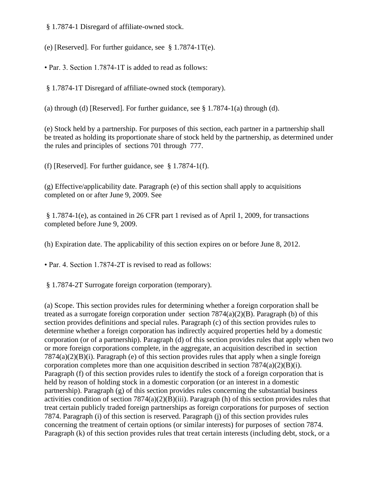§ 1.7874-1 Disregard of affiliate-owned stock.

(e) [Reserved]. For further guidance, see § 1.7874-1T(e).

• Par. 3. Section 1.7874-1T is added to read as follows:

§ 1.7874-1T Disregard of affiliate-owned stock (temporary).

(a) through (d) [Reserved]. For further guidance, see  $\S 1.7874-1$ (a) through (d).

(e) Stock held by a partnership. For purposes of this section, each partner in a partnership shall be treated as holding its proportionate share of stock held by the partnership, as determined under the rules and principles of sections 701 through 777.

(f) [Reserved]. For further guidance, see § 1.7874-1(f).

(g) Effective/applicability date. Paragraph (e) of this section shall apply to acquisitions completed on or after June 9, 2009. See

§ 1.7874-1(e), as contained in 26 CFR part 1 revised as of April 1, 2009, for transactions completed before June 9, 2009.

(h) Expiration date. The applicability of this section expires on or before June 8, 2012.

• Par. 4. Section 1.7874-2T is revised to read as follows:

§ 1.7874-2T Surrogate foreign corporation (temporary).

(a) Scope. This section provides rules for determining whether a foreign corporation shall be treated as a surrogate foreign corporation under section  $7874(a)(2)(B)$ . Paragraph (b) of this section provides definitions and special rules. Paragraph (c) of this section provides rules to determine whether a foreign corporation has indirectly acquired properties held by a domestic corporation (or of a partnership). Paragraph (d) of this section provides rules that apply when two or more foreign corporations complete, in the aggregate, an acquisition described in section 7874(a)(2)(B)(i). Paragraph (e) of this section provides rules that apply when a single foreign corporation completes more than one acquisition described in section  $7874(a)(2)(B)(i)$ . Paragraph (f) of this section provides rules to identify the stock of a foreign corporation that is held by reason of holding stock in a domestic corporation (or an interest in a domestic partnership). Paragraph (g) of this section provides rules concerning the substantial business activities condition of section  $7874(a)(2)(B)(iii)$ . Paragraph (h) of this section provides rules that treat certain publicly traded foreign partnerships as foreign corporations for purposes of section 7874. Paragraph (i) of this section is reserved. Paragraph (j) of this section provides rules concerning the treatment of certain options (or similar interests) for purposes of section 7874. Paragraph (k) of this section provides rules that treat certain interests (including debt, stock, or a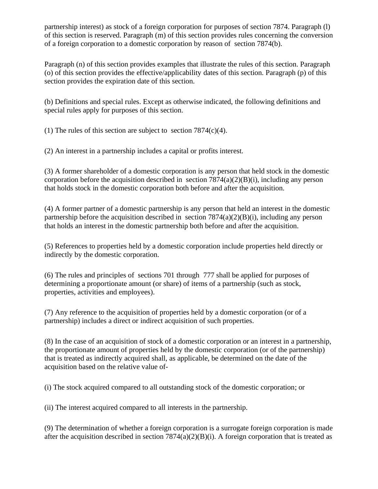partnership interest) as stock of a foreign corporation for purposes of section 7874. Paragraph (l) of this section is reserved. Paragraph (m) of this section provides rules concerning the conversion of a foreign corporation to a domestic corporation by reason of section 7874(b).

Paragraph (n) of this section provides examples that illustrate the rules of this section. Paragraph (o) of this section provides the effective/applicability dates of this section. Paragraph (p) of this section provides the expiration date of this section.

(b) Definitions and special rules. Except as otherwise indicated, the following definitions and special rules apply for purposes of this section.

(1) The rules of this section are subject to section  $7874(c)(4)$ .

(2) An interest in a partnership includes a capital or profits interest.

(3) A former shareholder of a domestic corporation is any person that held stock in the domestic corporation before the acquisition described in section 7874(a)(2)(B)(i), including any person that holds stock in the domestic corporation both before and after the acquisition.

(4) A former partner of a domestic partnership is any person that held an interest in the domestic partnership before the acquisition described in section 7874(a)(2)(B)(i), including any person that holds an interest in the domestic partnership both before and after the acquisition.

(5) References to properties held by a domestic corporation include properties held directly or indirectly by the domestic corporation.

(6) The rules and principles of sections 701 through 777 shall be applied for purposes of determining a proportionate amount (or share) of items of a partnership (such as stock, properties, activities and employees).

(7) Any reference to the acquisition of properties held by a domestic corporation (or of a partnership) includes a direct or indirect acquisition of such properties.

(8) In the case of an acquisition of stock of a domestic corporation or an interest in a partnership, the proportionate amount of properties held by the domestic corporation (or of the partnership) that is treated as indirectly acquired shall, as applicable, be determined on the date of the acquisition based on the relative value of-

(i) The stock acquired compared to all outstanding stock of the domestic corporation; or

(ii) The interest acquired compared to all interests in the partnership.

(9) The determination of whether a foreign corporation is a surrogate foreign corporation is made after the acquisition described in section  $7874(a)(2)(B)(i)$ . A foreign corporation that is treated as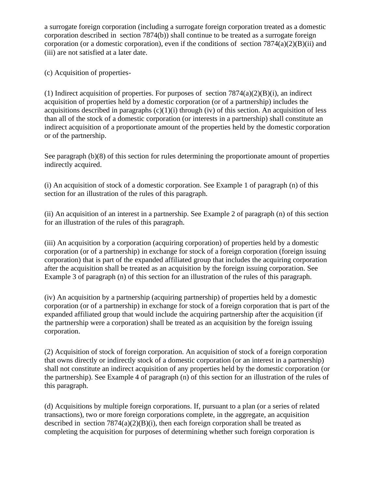a surrogate foreign corporation (including a surrogate foreign corporation treated as a domestic corporation described in section 7874(b)) shall continue to be treated as a surrogate foreign corporation (or a domestic corporation), even if the conditions of section  $7874(a)(2)(B)(ii)$  and (iii) are not satisfied at a later date.

(c) Acquisition of properties-

(1) Indirect acquisition of properties. For purposes of section  $7874(a)(2)(B)(i)$ , an indirect acquisition of properties held by a domestic corporation (or of a partnership) includes the acquisitions described in paragraphs  $(c)(1)(i)$  through (iv) of this section. An acquisition of less than all of the stock of a domestic corporation (or interests in a partnership) shall constitute an indirect acquisition of a proportionate amount of the properties held by the domestic corporation or of the partnership.

See paragraph (b)(8) of this section for rules determining the proportionate amount of properties indirectly acquired.

(i) An acquisition of stock of a domestic corporation. See Example 1 of paragraph (n) of this section for an illustration of the rules of this paragraph.

(ii) An acquisition of an interest in a partnership. See Example 2 of paragraph (n) of this section for an illustration of the rules of this paragraph.

(iii) An acquisition by a corporation (acquiring corporation) of properties held by a domestic corporation (or of a partnership) in exchange for stock of a foreign corporation (foreign issuing corporation) that is part of the expanded affiliated group that includes the acquiring corporation after the acquisition shall be treated as an acquisition by the foreign issuing corporation. See Example 3 of paragraph (n) of this section for an illustration of the rules of this paragraph.

(iv) An acquisition by a partnership (acquiring partnership) of properties held by a domestic corporation (or of a partnership) in exchange for stock of a foreign corporation that is part of the expanded affiliated group that would include the acquiring partnership after the acquisition (if the partnership were a corporation) shall be treated as an acquisition by the foreign issuing corporation.

(2) Acquisition of stock of foreign corporation. An acquisition of stock of a foreign corporation that owns directly or indirectly stock of a domestic corporation (or an interest in a partnership) shall not constitute an indirect acquisition of any properties held by the domestic corporation (or the partnership). See Example 4 of paragraph (n) of this section for an illustration of the rules of this paragraph.

(d) Acquisitions by multiple foreign corporations. If, pursuant to a plan (or a series of related transactions), two or more foreign corporations complete, in the aggregate, an acquisition described in section  $7874(a)(2)(B)(i)$ , then each foreign corporation shall be treated as completing the acquisition for purposes of determining whether such foreign corporation is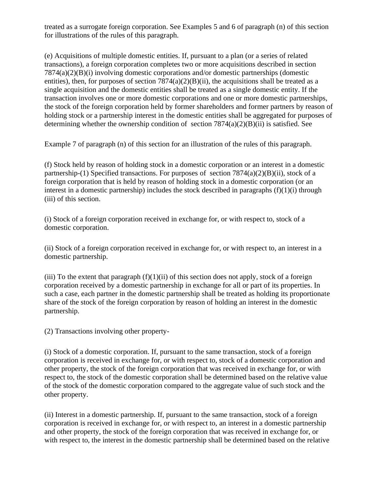treated as a surrogate foreign corporation. See Examples 5 and 6 of paragraph (n) of this section for illustrations of the rules of this paragraph.

(e) Acquisitions of multiple domestic entities. If, pursuant to a plan (or a series of related transactions), a foreign corporation completes two or more acquisitions described in section 7874(a)(2)(B)(i) involving domestic corporations and/or domestic partnerships (domestic entities), then, for purposes of section  $7874(a)(2)(B)(ii)$ , the acquisitions shall be treated as a single acquisition and the domestic entities shall be treated as a single domestic entity. If the transaction involves one or more domestic corporations and one or more domestic partnerships, the stock of the foreign corporation held by former shareholders and former partners by reason of holding stock or a partnership interest in the domestic entities shall be aggregated for purposes of determining whether the ownership condition of section  $7874(a)(2)(B)(ii)$  is satisfied. See

Example 7 of paragraph (n) of this section for an illustration of the rules of this paragraph.

(f) Stock held by reason of holding stock in a domestic corporation or an interest in a domestic partnership-(1) Specified transactions. For purposes of section  $7874(a)(2)(B)(ii)$ , stock of a foreign corporation that is held by reason of holding stock in a domestic corporation (or an interest in a domestic partnership) includes the stock described in paragraphs  $(f)(1)(i)$  through (iii) of this section.

(i) Stock of a foreign corporation received in exchange for, or with respect to, stock of a domestic corporation.

(ii) Stock of a foreign corporation received in exchange for, or with respect to, an interest in a domestic partnership.

(iii) To the extent that paragraph  $(f)(1)(ii)$  of this section does not apply, stock of a foreign corporation received by a domestic partnership in exchange for all or part of its properties. In such a case, each partner in the domestic partnership shall be treated as holding its proportionate share of the stock of the foreign corporation by reason of holding an interest in the domestic partnership.

(2) Transactions involving other property-

(i) Stock of a domestic corporation. If, pursuant to the same transaction, stock of a foreign corporation is received in exchange for, or with respect to, stock of a domestic corporation and other property, the stock of the foreign corporation that was received in exchange for, or with respect to, the stock of the domestic corporation shall be determined based on the relative value of the stock of the domestic corporation compared to the aggregate value of such stock and the other property.

(ii) Interest in a domestic partnership. If, pursuant to the same transaction, stock of a foreign corporation is received in exchange for, or with respect to, an interest in a domestic partnership and other property, the stock of the foreign corporation that was received in exchange for, or with respect to, the interest in the domestic partnership shall be determined based on the relative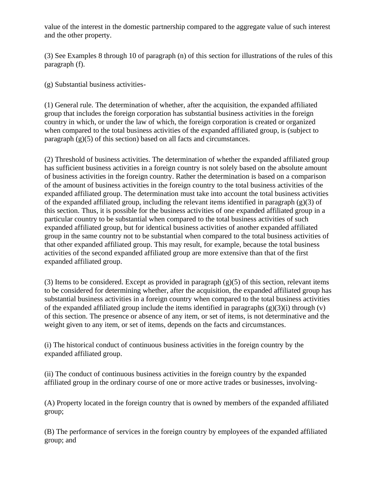value of the interest in the domestic partnership compared to the aggregate value of such interest and the other property.

(3) See Examples 8 through 10 of paragraph (n) of this section for illustrations of the rules of this paragraph (f).

(g) Substantial business activities-

(1) General rule. The determination of whether, after the acquisition, the expanded affiliated group that includes the foreign corporation has substantial business activities in the foreign country in which, or under the law of which, the foreign corporation is created or organized when compared to the total business activities of the expanded affiliated group, is (subject to paragraph  $(g)(5)$  of this section) based on all facts and circumstances.

(2) Threshold of business activities. The determination of whether the expanded affiliated group has sufficient business activities in a foreign country is not solely based on the absolute amount of business activities in the foreign country. Rather the determination is based on a comparison of the amount of business activities in the foreign country to the total business activities of the expanded affiliated group. The determination must take into account the total business activities of the expanded affiliated group, including the relevant items identified in paragraph (g)(3) of this section. Thus, it is possible for the business activities of one expanded affiliated group in a particular country to be substantial when compared to the total business activities of such expanded affiliated group, but for identical business activities of another expanded affiliated group in the same country not to be substantial when compared to the total business activities of that other expanded affiliated group. This may result, for example, because the total business activities of the second expanded affiliated group are more extensive than that of the first expanded affiliated group.

(3) Items to be considered. Except as provided in paragraph  $(g)(5)$  of this section, relevant items to be considered for determining whether, after the acquisition, the expanded affiliated group has substantial business activities in a foreign country when compared to the total business activities of the expanded affiliated group include the items identified in paragraphs  $(g)(3)(i)$  through  $(v)$ of this section. The presence or absence of any item, or set of items, is not determinative and the weight given to any item, or set of items, depends on the facts and circumstances.

(i) The historical conduct of continuous business activities in the foreign country by the expanded affiliated group.

(ii) The conduct of continuous business activities in the foreign country by the expanded affiliated group in the ordinary course of one or more active trades or businesses, involving-

(A) Property located in the foreign country that is owned by members of the expanded affiliated group;

(B) The performance of services in the foreign country by employees of the expanded affiliated group; and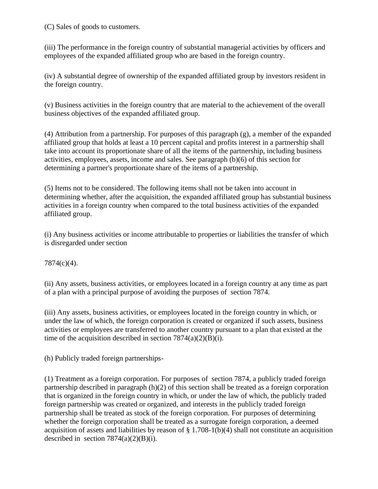(C) Sales of goods to customers.

(iii) The performance in the foreign country of substantial managerial activities by officers and employees of the expanded affiliated group who are based in the foreign country.

(iv) A substantial degree of ownership of the expanded affiliated group by investors resident in the foreign country.

(v) Business activities in the foreign country that are material to the achievement of the overall business objectives of the expanded affiliated group.

(4) Attribution from a partnership. For purposes of this paragraph (g), a member of the expanded affiliated group that holds at least a 10 percent capital and profits interest in a partnership shall take into account its proportionate share of all the items of the partnership, including business activities, employees, assets, income and sales. See paragraph (b)(6) of this section for determining a partner's proportionate share of the items of a partnership.

(5) Items not to be considered. The following items shall not be taken into account in determining whether, after the acquisition, the expanded affiliated group has substantial business activities in a foreign country when compared to the total business activities of the expanded affiliated group.

(i) Any business activities or income attributable to properties or liabilities the transfer of which is disregarded under section

7874(c)(4).

(ii) Any assets, business activities, or employees located in a foreign country at any time as part of a plan with a principal purpose of avoiding the purposes of section 7874.

(iii) Any assets, business activities, or employees located in the foreign country in which, or under the law of which, the foreign corporation is created or organized if such assets, business activities or employees are transferred to another country pursuant to a plan that existed at the time of the acquisition described in section  $7874(a)(2)(B)(i)$ .

(h) Publicly traded foreign partnerships-

(1) Treatment as a foreign corporation. For purposes of section 7874, a publicly traded foreign partnership described in paragraph (h)(2) of this section shall be treated as a foreign corporation that is organized in the foreign country in which, or under the law of which, the publicly traded foreign partnership was created or organized, and interests in the publicly traded foreign partnership shall be treated as stock of the foreign corporation. For purposes of determining whether the foreign corporation shall be treated as a surrogate foreign corporation, a deemed acquisition of assets and liabilities by reason of § 1.708-1(b)(4) shall not constitute an acquisition described in section  $7874(a)(2)(B)(i)$ .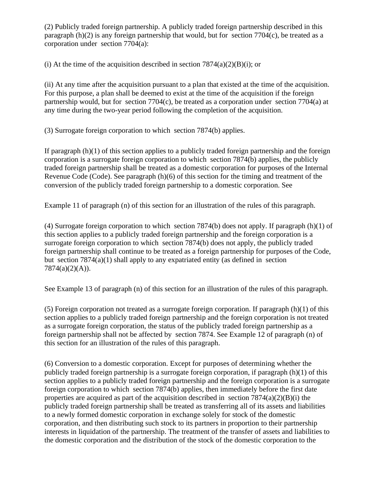(2) Publicly traded foreign partnership. A publicly traded foreign partnership described in this paragraph (h)(2) is any foreign partnership that would, but for section 7704(c), be treated as a corporation under section 7704(a):

(i) At the time of the acquisition described in section  $7874(a)(2)(B)(i)$ ; or

(ii) At any time after the acquisition pursuant to a plan that existed at the time of the acquisition. For this purpose, a plan shall be deemed to exist at the time of the acquisition if the foreign partnership would, but for section 7704(c), be treated as a corporation under section 7704(a) at any time during the two-year period following the completion of the acquisition.

(3) Surrogate foreign corporation to which section 7874(b) applies.

If paragraph (h)(1) of this section applies to a publicly traded foreign partnership and the foreign corporation is a surrogate foreign corporation to which section 7874(b) applies, the publicly traded foreign partnership shall be treated as a domestic corporation for purposes of the Internal Revenue Code (Code). See paragraph (h)(6) of this section for the timing and treatment of the conversion of the publicly traded foreign partnership to a domestic corporation. See

Example 11 of paragraph (n) of this section for an illustration of the rules of this paragraph.

(4) Surrogate foreign corporation to which section 7874(b) does not apply. If paragraph (h)(1) of this section applies to a publicly traded foreign partnership and the foreign corporation is a surrogate foreign corporation to which section 7874(b) does not apply, the publicly traded foreign partnership shall continue to be treated as a foreign partnership for purposes of the Code, but section  $7874(a)(1)$  shall apply to any expatriated entity (as defined in section 7874(a)(2)(A)).

See Example 13 of paragraph (n) of this section for an illustration of the rules of this paragraph.

(5) Foreign corporation not treated as a surrogate foreign corporation. If paragraph  $(h)(1)$  of this section applies to a publicly traded foreign partnership and the foreign corporation is not treated as a surrogate foreign corporation, the status of the publicly traded foreign partnership as a foreign partnership shall not be affected by section 7874. See Example 12 of paragraph (n) of this section for an illustration of the rules of this paragraph.

(6) Conversion to a domestic corporation. Except for purposes of determining whether the publicly traded foreign partnership is a surrogate foreign corporation, if paragraph (h)(1) of this section applies to a publicly traded foreign partnership and the foreign corporation is a surrogate foreign corporation to which section 7874(b) applies, then immediately before the first date properties are acquired as part of the acquisition described in section  $7874(a)(2)(B)(i)$  the publicly traded foreign partnership shall be treated as transferring all of its assets and liabilities to a newly formed domestic corporation in exchange solely for stock of the domestic corporation, and then distributing such stock to its partners in proportion to their partnership interests in liquidation of the partnership. The treatment of the transfer of assets and liabilities to the domestic corporation and the distribution of the stock of the domestic corporation to the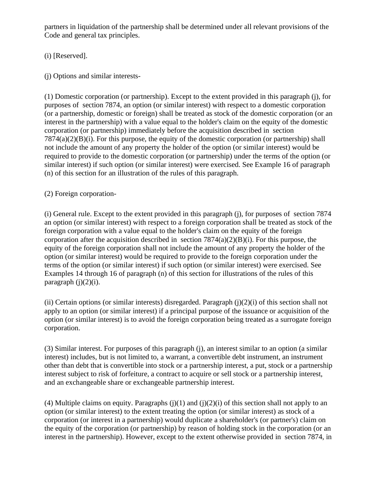partners in liquidation of the partnership shall be determined under all relevant provisions of the Code and general tax principles.

(i) [Reserved].

(j) Options and similar interests-

(1) Domestic corporation (or partnership). Except to the extent provided in this paragraph (j), for purposes of section 7874, an option (or similar interest) with respect to a domestic corporation (or a partnership, domestic or foreign) shall be treated as stock of the domestic corporation (or an interest in the partnership) with a value equal to the holder's claim on the equity of the domestic corporation (or partnership) immediately before the acquisition described in section 7874(a)(2)(B)(i). For this purpose, the equity of the domestic corporation (or partnership) shall not include the amount of any property the holder of the option (or similar interest) would be required to provide to the domestic corporation (or partnership) under the terms of the option (or similar interest) if such option (or similar interest) were exercised. See Example 16 of paragraph (n) of this section for an illustration of the rules of this paragraph.

(2) Foreign corporation-

(i) General rule. Except to the extent provided in this paragraph (j), for purposes of section 7874 an option (or similar interest) with respect to a foreign corporation shall be treated as stock of the foreign corporation with a value equal to the holder's claim on the equity of the foreign corporation after the acquisition described in section  $7874(a)(2)(B)(i)$ . For this purpose, the equity of the foreign corporation shall not include the amount of any property the holder of the option (or similar interest) would be required to provide to the foreign corporation under the terms of the option (or similar interest) if such option (or similar interest) were exercised. See Examples 14 through 16 of paragraph (n) of this section for illustrations of the rules of this paragraph  $(j)(2)(i)$ .

(ii) Certain options (or similar interests) disregarded. Paragraph  $(i)(2)(i)$  of this section shall not apply to an option (or similar interest) if a principal purpose of the issuance or acquisition of the option (or similar interest) is to avoid the foreign corporation being treated as a surrogate foreign corporation.

(3) Similar interest. For purposes of this paragraph (j), an interest similar to an option (a similar interest) includes, but is not limited to, a warrant, a convertible debt instrument, an instrument other than debt that is convertible into stock or a partnership interest, a put, stock or a partnership interest subject to risk of forfeiture, a contract to acquire or sell stock or a partnership interest, and an exchangeable share or exchangeable partnership interest.

(4) Multiple claims on equity. Paragraphs  $(j)(1)$  and  $(j)(2)(i)$  of this section shall not apply to an option (or similar interest) to the extent treating the option (or similar interest) as stock of a corporation (or interest in a partnership) would duplicate a shareholder's (or partner's) claim on the equity of the corporation (or partnership) by reason of holding stock in the corporation (or an interest in the partnership). However, except to the extent otherwise provided in section 7874, in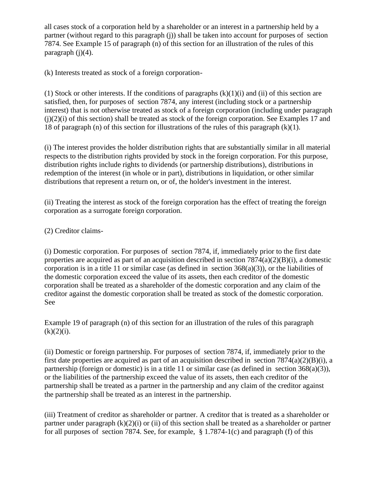all cases stock of a corporation held by a shareholder or an interest in a partnership held by a partner (without regard to this paragraph (j)) shall be taken into account for purposes of section 7874. See Example 15 of paragraph (n) of this section for an illustration of the rules of this paragraph  $(i)(4)$ .

(k) Interests treated as stock of a foreign corporation-

(1) Stock or other interests. If the conditions of paragraphs  $(k)(1)(i)$  and (ii) of this section are satisfied, then, for purposes of section 7874, any interest (including stock or a partnership interest) that is not otherwise treated as stock of a foreign corporation (including under paragraph (j)(2)(i) of this section) shall be treated as stock of the foreign corporation. See Examples 17 and 18 of paragraph (n) of this section for illustrations of the rules of this paragraph (k)(1).

(i) The interest provides the holder distribution rights that are substantially similar in all material respects to the distribution rights provided by stock in the foreign corporation. For this purpose, distribution rights include rights to dividends (or partnership distributions), distributions in redemption of the interest (in whole or in part), distributions in liquidation, or other similar distributions that represent a return on, or of, the holder's investment in the interest.

(ii) Treating the interest as stock of the foreign corporation has the effect of treating the foreign corporation as a surrogate foreign corporation.

(2) Creditor claims-

(i) Domestic corporation. For purposes of section 7874, if, immediately prior to the first date properties are acquired as part of an acquisition described in section  $7874(a)(2)(B)(i)$ , a domestic corporation is in a title 11 or similar case (as defined in section  $368(a)(3)$ ), or the liabilities of the domestic corporation exceed the value of its assets, then each creditor of the domestic corporation shall be treated as a shareholder of the domestic corporation and any claim of the creditor against the domestic corporation shall be treated as stock of the domestic corporation. See

Example 19 of paragraph (n) of this section for an illustration of the rules of this paragraph  $(k)(2)(i)$ .

(ii) Domestic or foreign partnership. For purposes of section 7874, if, immediately prior to the first date properties are acquired as part of an acquisition described in section 7874(a)(2)(B)(i), a partnership (foreign or domestic) is in a title 11 or similar case (as defined in section 368(a)(3)), or the liabilities of the partnership exceed the value of its assets, then each creditor of the partnership shall be treated as a partner in the partnership and any claim of the creditor against the partnership shall be treated as an interest in the partnership.

(iii) Treatment of creditor as shareholder or partner. A creditor that is treated as a shareholder or partner under paragraph  $(k)(2)(i)$  or (ii) of this section shall be treated as a shareholder or partner for all purposes of section 7874. See, for example, § 1.7874-1(c) and paragraph (f) of this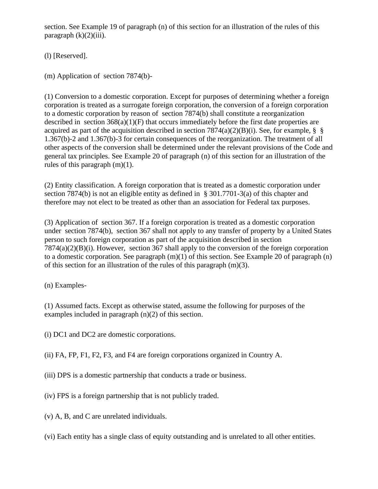section. See Example 19 of paragraph (n) of this section for an illustration of the rules of this paragraph  $(k)(2)(iii)$ .

(l) [Reserved].

(m) Application of section 7874(b)-

(1) Conversion to a domestic corporation. Except for purposes of determining whether a foreign corporation is treated as a surrogate foreign corporation, the conversion of a foreign corporation to a domestic corporation by reason of section 7874(b) shall constitute a reorganization described in section  $368(a)(1)(F)$  that occurs immediately before the first date properties are acquired as part of the acquisition described in section 7874(a)(2)(B)(i). See, for example, § § 1.367(b)-2 and 1.367(b)-3 for certain consequences of the reorganization. The treatment of all other aspects of the conversion shall be determined under the relevant provisions of the Code and general tax principles. See Example 20 of paragraph (n) of this section for an illustration of the rules of this paragraph (m)(1).

(2) Entity classification. A foreign corporation that is treated as a domestic corporation under section 7874(b) is not an eligible entity as defined in § 301.7701-3(a) of this chapter and therefore may not elect to be treated as other than an association for Federal tax purposes.

(3) Application of section 367. If a foreign corporation is treated as a domestic corporation under section 7874(b), section 367 shall not apply to any transfer of property by a United States person to such foreign corporation as part of the acquisition described in section 7874(a)(2)(B)(i). However, section 367 shall apply to the conversion of the foreign corporation to a domestic corporation. See paragraph (m)(1) of this section. See Example 20 of paragraph (n) of this section for an illustration of the rules of this paragraph (m)(3).

(n) Examples-

(1) Assumed facts. Except as otherwise stated, assume the following for purposes of the examples included in paragraph (n)(2) of this section.

(i) DC1 and DC2 are domestic corporations.

(ii) FA, FP, F1, F2, F3, and F4 are foreign corporations organized in Country A.

- (iii) DPS is a domestic partnership that conducts a trade or business.
- (iv) FPS is a foreign partnership that is not publicly traded.
- (v) A, B, and C are unrelated individuals.
- (vi) Each entity has a single class of equity outstanding and is unrelated to all other entities.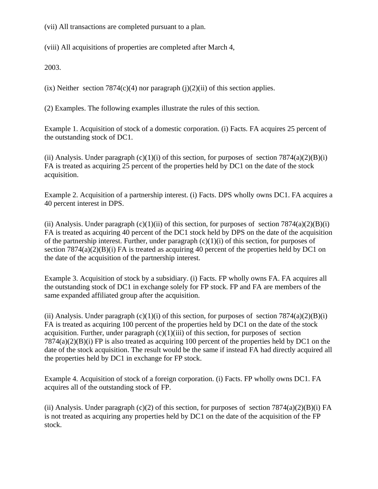(vii) All transactions are completed pursuant to a plan.

(viii) All acquisitions of properties are completed after March 4,

2003.

(ix) Neither section  $7874(c)(4)$  nor paragraph (j)(2)(ii) of this section applies.

(2) Examples. The following examples illustrate the rules of this section.

Example 1. Acquisition of stock of a domestic corporation. (i) Facts. FA acquires 25 percent of the outstanding stock of DC1.

(ii) Analysis. Under paragraph  $(c)(1)(i)$  of this section, for purposes of section 7874(a)(2)(B)(i) FA is treated as acquiring 25 percent of the properties held by DC1 on the date of the stock acquisition.

Example 2. Acquisition of a partnership interest. (i) Facts. DPS wholly owns DC1. FA acquires a 40 percent interest in DPS.

(ii) Analysis. Under paragraph  $(c)(1)(ii)$  of this section, for purposes of section 7874(a)(2)(B)(i) FA is treated as acquiring 40 percent of the DC1 stock held by DPS on the date of the acquisition of the partnership interest. Further, under paragraph  $(c)(1)(i)$  of this section, for purposes of section  $7874(a)(2)(B)(i)$  FA is treated as acquiring 40 percent of the properties held by DC1 on the date of the acquisition of the partnership interest.

Example 3. Acquisition of stock by a subsidiary. (i) Facts. FP wholly owns FA. FA acquires all the outstanding stock of DC1 in exchange solely for FP stock. FP and FA are members of the same expanded affiliated group after the acquisition.

(ii) Analysis. Under paragraph  $(c)(1)(i)$  of this section, for purposes of section 7874(a)(2)(B)(i) FA is treated as acquiring 100 percent of the properties held by DC1 on the date of the stock acquisition. Further, under paragraph  $(c)(1)(iii)$  of this section, for purposes of section 7874(a)(2)(B)(i) FP is also treated as acquiring 100 percent of the properties held by DC1 on the date of the stock acquisition. The result would be the same if instead FA had directly acquired all the properties held by DC1 in exchange for FP stock.

Example 4. Acquisition of stock of a foreign corporation. (i) Facts. FP wholly owns DC1. FA acquires all of the outstanding stock of FP.

(ii) Analysis. Under paragraph (c)(2) of this section, for purposes of section  $7874(a)(2)(B)(i)$  FA is not treated as acquiring any properties held by DC1 on the date of the acquisition of the FP stock.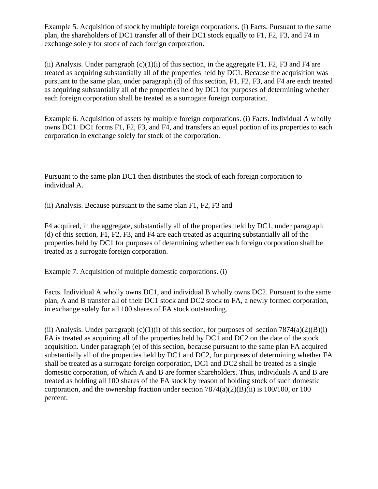Example 5. Acquisition of stock by multiple foreign corporations. (i) Facts. Pursuant to the same plan, the shareholders of DC1 transfer all of their DC1 stock equally to F1, F2, F3, and F4 in exchange solely for stock of each foreign corporation.

(ii) Analysis. Under paragraph  $(c)(1)(i)$  of this section, in the aggregate F1, F2, F3 and F4 are treated as acquiring substantially all of the properties held by DC1. Because the acquisition was pursuant to the same plan, under paragraph (d) of this section, F1, F2, F3, and F4 are each treated as acquiring substantially all of the properties held by DC1 for purposes of determining whether each foreign corporation shall be treated as a surrogate foreign corporation.

Example 6. Acquisition of assets by multiple foreign corporations. (i) Facts. Individual A wholly owns DC1. DC1 forms F1, F2, F3, and F4, and transfers an equal portion of its properties to each corporation in exchange solely for stock of the corporation.

Pursuant to the same plan DC1 then distributes the stock of each foreign corporation to individual A.

(ii) Analysis. Because pursuant to the same plan F1, F2, F3 and

F4 acquired, in the aggregate, substantially all of the properties held by DC1, under paragraph (d) of this section, F1, F2, F3, and F4 are each treated as acquiring substantially all of the properties held by DC1 for purposes of determining whether each foreign corporation shall be treated as a surrogate foreign corporation.

Example 7. Acquisition of multiple domestic corporations. (i)

Facts. Individual A wholly owns DC1, and individual B wholly owns DC2. Pursuant to the same plan, A and B transfer all of their DC1 stock and DC2 stock to FA, a newly formed corporation, in exchange solely for all 100 shares of FA stock outstanding.

(ii) Analysis. Under paragraph  $(c)(1)(i)$  of this section, for purposes of section 7874(a)(2)(B)(i) FA is treated as acquiring all of the properties held by DC1 and DC2 on the date of the stock acquisition. Under paragraph (e) of this section, because pursuant to the same plan FA acquired substantially all of the properties held by DC1 and DC2, for purposes of determining whether FA shall be treated as a surrogate foreign corporation, DC1 and DC2 shall be treated as a single domestic corporation, of which A and B are former shareholders. Thus, individuals A and B are treated as holding all 100 shares of the FA stock by reason of holding stock of such domestic corporation, and the ownership fraction under section  $7874(a)(2)(B)(ii)$  is 100/100, or 100 percent.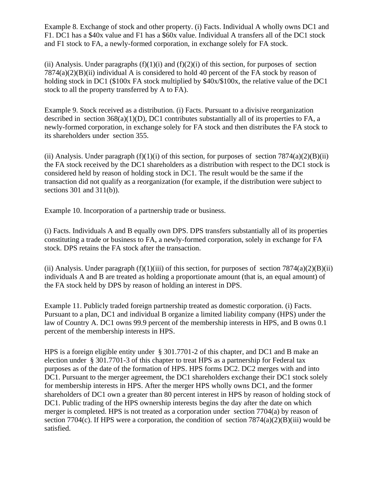Example 8. Exchange of stock and other property. (i) Facts. Individual A wholly owns DC1 and F1. DC1 has a \$40x value and F1 has a \$60x value. Individual A transfers all of the DC1 stock and F1 stock to FA, a newly-formed corporation, in exchange solely for FA stock.

(ii) Analysis. Under paragraphs  $(f)(1)(i)$  and  $(f)(2)(i)$  of this section, for purposes of section  $7874(a)(2)(B)(ii)$  individual A is considered to hold 40 percent of the FA stock by reason of holding stock in DC1 (\$100x FA stock multiplied by \$40x/\$100x, the relative value of the DC1 stock to all the property transferred by A to FA).

Example 9. Stock received as a distribution. (i) Facts. Pursuant to a divisive reorganization described in section  $368(a)(1)(D)$ , DC1 contributes substantially all of its properties to FA, a newly-formed corporation, in exchange solely for FA stock and then distributes the FA stock to its shareholders under section 355.

(ii) Analysis. Under paragraph  $(f)(1)(i)$  of this section, for purposes of section 7874(a)(2)(B)(ii) the FA stock received by the DC1 shareholders as a distribution with respect to the DC1 stock is considered held by reason of holding stock in DC1. The result would be the same if the transaction did not qualify as a reorganization (for example, if the distribution were subject to sections 301 and 311(b)).

Example 10. Incorporation of a partnership trade or business.

(i) Facts. Individuals A and B equally own DPS. DPS transfers substantially all of its properties constituting a trade or business to FA, a newly-formed corporation, solely in exchange for FA stock. DPS retains the FA stock after the transaction.

(ii) Analysis. Under paragraph  $(f)(1)(iii)$  of this section, for purposes of section 7874(a)(2)(B)(ii) individuals A and B are treated as holding a proportionate amount (that is, an equal amount) of the FA stock held by DPS by reason of holding an interest in DPS.

Example 11. Publicly traded foreign partnership treated as domestic corporation. (i) Facts. Pursuant to a plan, DC1 and individual B organize a limited liability company (HPS) under the law of Country A. DC1 owns 99.9 percent of the membership interests in HPS, and B owns 0.1 percent of the membership interests in HPS.

HPS is a foreign eligible entity under § 301.7701-2 of this chapter, and DC1 and B make an election under § 301.7701-3 of this chapter to treat HPS as a partnership for Federal tax purposes as of the date of the formation of HPS. HPS forms DC2. DC2 merges with and into DC1. Pursuant to the merger agreement, the DC1 shareholders exchange their DC1 stock solely for membership interests in HPS. After the merger HPS wholly owns DC1, and the former shareholders of DC1 own a greater than 80 percent interest in HPS by reason of holding stock of DC1. Public trading of the HPS ownership interests begins the day after the date on which merger is completed. HPS is not treated as a corporation under section 7704(a) by reason of section 7704(c). If HPS were a corporation, the condition of section  $7874(a)(2)(B)(iii)$  would be satisfied.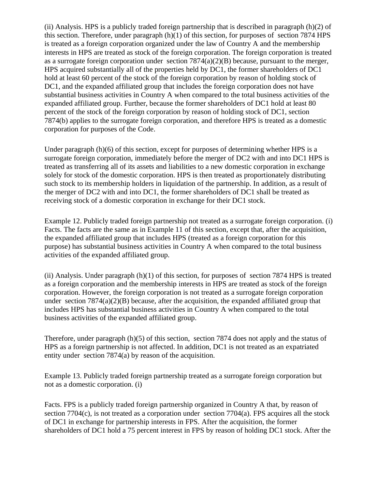(ii) Analysis. HPS is a publicly traded foreign partnership that is described in paragraph (h)(2) of this section. Therefore, under paragraph  $(h)(1)$  of this section, for purposes of section 7874 HPS is treated as a foreign corporation organized under the law of Country A and the membership interests in HPS are treated as stock of the foreign corporation. The foreign corporation is treated as a surrogate foreign corporation under section 7874(a)(2)(B) because, pursuant to the merger, HPS acquired substantially all of the properties held by DC1, the former shareholders of DC1 hold at least 60 percent of the stock of the foreign corporation by reason of holding stock of DC1, and the expanded affiliated group that includes the foreign corporation does not have substantial business activities in Country A when compared to the total business activities of the expanded affiliated group. Further, because the former shareholders of DC1 hold at least 80 percent of the stock of the foreign corporation by reason of holding stock of DC1, section 7874(b) applies to the surrogate foreign corporation, and therefore HPS is treated as a domestic corporation for purposes of the Code.

Under paragraph (h)(6) of this section, except for purposes of determining whether HPS is a surrogate foreign corporation, immediately before the merger of DC2 with and into DC1 HPS is treated as transferring all of its assets and liabilities to a new domestic corporation in exchange solely for stock of the domestic corporation. HPS is then treated as proportionately distributing such stock to its membership holders in liquidation of the partnership. In addition, as a result of the merger of DC2 with and into DC1, the former shareholders of DC1 shall be treated as receiving stock of a domestic corporation in exchange for their DC1 stock.

Example 12. Publicly traded foreign partnership not treated as a surrogate foreign corporation. (i) Facts. The facts are the same as in Example 11 of this section, except that, after the acquisition, the expanded affiliated group that includes HPS (treated as a foreign corporation for this purpose) has substantial business activities in Country A when compared to the total business activities of the expanded affiliated group.

(ii) Analysis. Under paragraph  $(h)(1)$  of this section, for purposes of section 7874 HPS is treated as a foreign corporation and the membership interests in HPS are treated as stock of the foreign corporation. However, the foreign corporation is not treated as a surrogate foreign corporation under section  $7874(a)(2)(B)$  because, after the acquisition, the expanded affiliated group that includes HPS has substantial business activities in Country A when compared to the total business activities of the expanded affiliated group.

Therefore, under paragraph (h)(5) of this section, section 7874 does not apply and the status of HPS as a foreign partnership is not affected. In addition, DC1 is not treated as an expatriated entity under section 7874(a) by reason of the acquisition.

Example 13. Publicly traded foreign partnership treated as a surrogate foreign corporation but not as a domestic corporation. (i)

Facts. FPS is a publicly traded foreign partnership organized in Country A that, by reason of section  $7704(c)$ , is not treated as a corporation under section  $7704(a)$ . FPS acquires all the stock of DC1 in exchange for partnership interests in FPS. After the acquisition, the former shareholders of DC1 hold a 75 percent interest in FPS by reason of holding DC1 stock. After the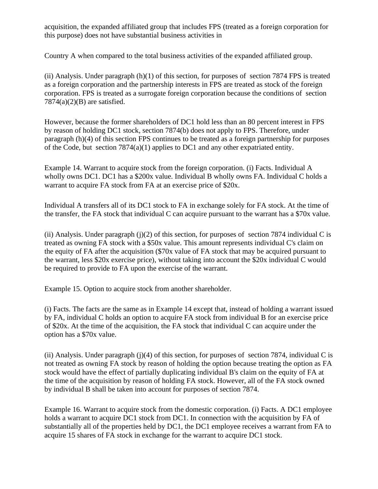acquisition, the expanded affiliated group that includes FPS (treated as a foreign corporation for this purpose) does not have substantial business activities in

Country A when compared to the total business activities of the expanded affiliated group.

(ii) Analysis. Under paragraph (h)(1) of this section, for purposes of section 7874 FPS is treated as a foreign corporation and the partnership interests in FPS are treated as stock of the foreign corporation. FPS is treated as a surrogate foreign corporation because the conditions of section  $7874(a)(2)(B)$  are satisfied.

However, because the former shareholders of DC1 hold less than an 80 percent interest in FPS by reason of holding DC1 stock, section 7874(b) does not apply to FPS. Therefore, under paragraph (h)(4) of this section FPS continues to be treated as a foreign partnership for purposes of the Code, but section  $7874(a)(1)$  applies to DC1 and any other expatriated entity.

Example 14. Warrant to acquire stock from the foreign corporation. (i) Facts. Individual A wholly owns DC1. DC1 has a \$200x value. Individual B wholly owns FA. Individual C holds a warrant to acquire FA stock from FA at an exercise price of \$20x.

Individual A transfers all of its DC1 stock to FA in exchange solely for FA stock. At the time of the transfer, the FA stock that individual C can acquire pursuant to the warrant has a \$70x value.

(ii) Analysis. Under paragraph (j)(2) of this section, for purposes of section 7874 individual C is treated as owning FA stock with a \$50x value. This amount represents individual C's claim on the equity of FA after the acquisition (\$70x value of FA stock that may be acquired pursuant to the warrant, less \$20x exercise price), without taking into account the \$20x individual C would be required to provide to FA upon the exercise of the warrant.

Example 15. Option to acquire stock from another shareholder.

(i) Facts. The facts are the same as in Example 14 except that, instead of holding a warrant issued by FA, individual C holds an option to acquire FA stock from individual B for an exercise price of \$20x. At the time of the acquisition, the FA stock that individual C can acquire under the option has a \$70x value.

(ii) Analysis. Under paragraph (j)(4) of this section, for purposes of section 7874, individual C is not treated as owning FA stock by reason of holding the option because treating the option as FA stock would have the effect of partially duplicating individual B's claim on the equity of FA at the time of the acquisition by reason of holding FA stock. However, all of the FA stock owned by individual B shall be taken into account for purposes of section 7874.

Example 16. Warrant to acquire stock from the domestic corporation. (i) Facts. A DC1 employee holds a warrant to acquire DC1 stock from DC1. In connection with the acquisition by FA of substantially all of the properties held by DC1, the DC1 employee receives a warrant from FA to acquire 15 shares of FA stock in exchange for the warrant to acquire DC1 stock.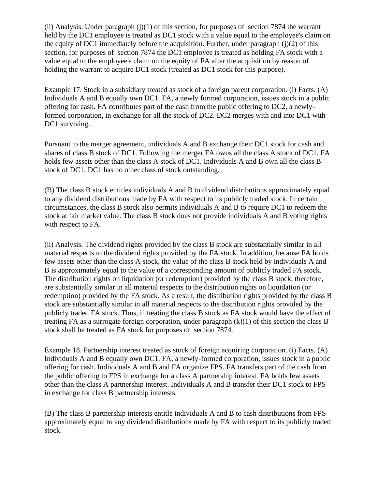(ii) Analysis. Under paragraph  $(j)(1)$  of this section, for purposes of section 7874 the warrant held by the DC1 employee is treated as DC1 stock with a value equal to the employee's claim on the equity of DC1 immediately before the acquisition. Further, under paragraph  $(j)(2)$  of this section, for purposes of section 7874 the DC1 employee is treated as holding FA stock with a value equal to the employee's claim on the equity of FA after the acquisition by reason of holding the warrant to acquire DC1 stock (treated as DC1 stock for this purpose).

Example 17. Stock in a subsidiary treated as stock of a foreign parent corporation. (i) Facts. (A) Individuals A and B equally own DC1. FA, a newly formed corporation, issues stock in a public offering for cash. FA contributes part of the cash from the public offering to DC2, a newlyformed corporation, in exchange for all the stock of DC2. DC2 merges with and into DC1 with DC1 surviving.

Pursuant to the merger agreement, individuals A and B exchange their DC1 stock for cash and shares of class B stock of DC1. Following the merger FA owns all the class A stock of DC1. FA holds few assets other than the class A stock of DC1. Individuals A and B own all the class B stock of DC1. DC1 has no other class of stock outstanding.

(B) The class B stock entitles individuals A and B to dividend distributions approximately equal to any dividend distributions made by FA with respect to its publicly traded stock. In certain circumstances, the class B stock also permits individuals A and B to require DC1 to redeem the stock at fair market value. The class B stock does not provide individuals A and B voting rights with respect to FA.

(ii) Analysis. The dividend rights provided by the class B stock are substantially similar in all material respects to the dividend rights provided by the FA stock. In addition, because FA holds few assets other than the class A stock, the value of the class B stock held by individuals A and B is approximately equal to the value of a corresponding amount of publicly traded FA stock. The distribution rights on liquidation (or redemption) provided by the class B stock, therefore, are substantially similar in all material respects to the distribution rights on liquidation (or redemption) provided by the FA stock. As a result, the distribution rights provided by the class B stock are substantially similar in all material respects to the distribution rights provided by the publicly traded FA stock. Thus, if treating the class B stock as FA stock would have the effect of treating FA as a surrogate foreign corporation, under paragraph (k)(1) of this section the class B stock shall be treated as FA stock for purposes of section 7874.

Example 18. Partnership interest treated as stock of foreign acquiring corporation. (i) Facts. (A) Individuals A and B equally own DC1. FA, a newly-formed corporation, issues stock in a public offering for cash. Individuals A and B and FA organize FPS. FA transfers part of the cash from the public offering to FPS in exchange for a class A partnership interest. FA holds few assets other than the class A partnership interest. Individuals A and B transfer their DC1 stock to FPS in exchange for class B partnership interests.

(B) The class B partnership interests entitle individuals A and B to cash distributions from FPS approximately equal to any dividend distributions made by FA with respect to its publicly traded stock.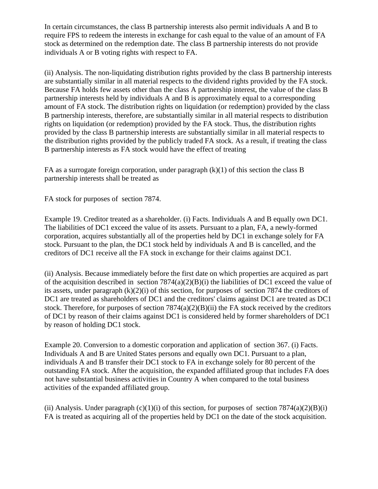In certain circumstances, the class B partnership interests also permit individuals A and B to require FPS to redeem the interests in exchange for cash equal to the value of an amount of FA stock as determined on the redemption date. The class B partnership interests do not provide individuals A or B voting rights with respect to FA.

(ii) Analysis. The non-liquidating distribution rights provided by the class B partnership interests are substantially similar in all material respects to the dividend rights provided by the FA stock. Because FA holds few assets other than the class A partnership interest, the value of the class B partnership interests held by individuals A and B is approximately equal to a corresponding amount of FA stock. The distribution rights on liquidation (or redemption) provided by the class B partnership interests, therefore, are substantially similar in all material respects to distribution rights on liquidation (or redemption) provided by the FA stock. Thus, the distribution rights provided by the class B partnership interests are substantially similar in all material respects to the distribution rights provided by the publicly traded FA stock. As a result, if treating the class B partnership interests as FA stock would have the effect of treating

FA as a surrogate foreign corporation, under paragraph  $(k)(1)$  of this section the class B partnership interests shall be treated as

FA stock for purposes of section 7874.

Example 19. Creditor treated as a shareholder. (i) Facts. Individuals A and B equally own DC1. The liabilities of DC1 exceed the value of its assets. Pursuant to a plan, FA, a newly-formed corporation, acquires substantially all of the properties held by DC1 in exchange solely for FA stock. Pursuant to the plan, the DC1 stock held by individuals A and B is cancelled, and the creditors of DC1 receive all the FA stock in exchange for their claims against DC1.

(ii) Analysis. Because immediately before the first date on which properties are acquired as part of the acquisition described in section  $7874(a)(2)(B)(i)$  the liabilities of DC1 exceed the value of its assets, under paragraph  $(k)(2)(i)$  of this section, for purposes of section 7874 the creditors of DC1 are treated as shareholders of DC1 and the creditors' claims against DC1 are treated as DC1 stock. Therefore, for purposes of section  $7874(a)(2)(B)(ii)$  the FA stock received by the creditors of DC1 by reason of their claims against DC1 is considered held by former shareholders of DC1 by reason of holding DC1 stock.

Example 20. Conversion to a domestic corporation and application of section 367. (i) Facts. Individuals A and B are United States persons and equally own DC1. Pursuant to a plan, individuals A and B transfer their DC1 stock to FA in exchange solely for 80 percent of the outstanding FA stock. After the acquisition, the expanded affiliated group that includes FA does not have substantial business activities in Country A when compared to the total business activities of the expanded affiliated group.

(ii) Analysis. Under paragraph (c)(1)(i) of this section, for purposes of section 7874(a)(2)(B)(i) FA is treated as acquiring all of the properties held by DC1 on the date of the stock acquisition.